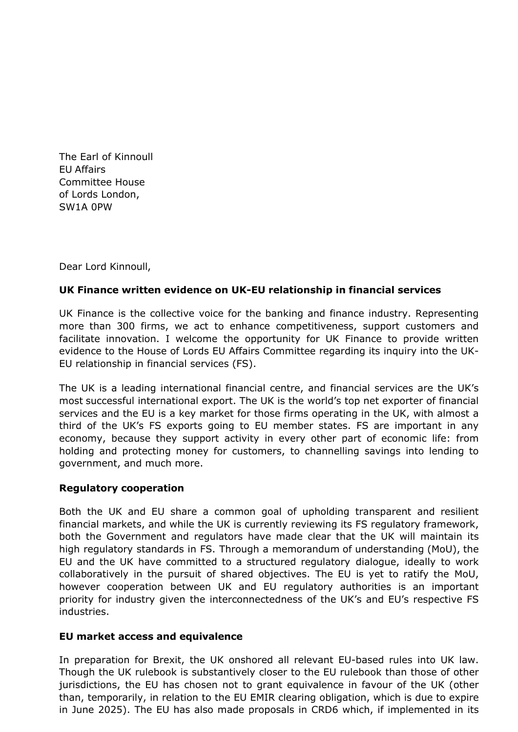The Earl of Kinnoull EU Affairs Committee House of Lords London, SW1A 0PW

Dear Lord Kinnoull,

## **UK Finance written evidence on UK-EU relationship in financial services**

UK Finance is the collective voice for the banking and finance industry. Representing more than 300 firms, we act to enhance competitiveness, support customers and facilitate innovation. I welcome the opportunity for UK Finance to provide written evidence to the House of Lords EU Affairs Committee regarding its inquiry into the UK-EU relationship in financial services (FS).

The UK is a leading international financial centre, and financial services are the UK's most successful international export. The UK is the world's top net exporter of financial services and the EU is a key market for those firms operating in the UK, with almost a third of the UK's FS exports going to EU member states. FS are important in any economy, because they support activity in every other part of economic life: from holding and protecting money for customers, to channelling savings into lending to government, and much more.

## **Regulatory cooperation**

Both the UK and EU share a common goal of upholding transparent and resilient financial markets, and while the UK is currently reviewing its FS regulatory framework, both the Government and regulators have made clear that the UK will maintain its high regulatory standards in FS. Through a memorandum of understanding (MoU), the EU and the UK have committed to a structured regulatory dialogue, ideally to work collaboratively in the pursuit of shared objectives. The EU is yet to ratify the MoU, however cooperation between UK and EU regulatory authorities is an important priority for industry given the interconnectedness of the UK's and EU's respective FS industries.

## **EU market access and equivalence**

In preparation for Brexit, the UK onshored all relevant EU-based rules into UK law. Though the UK rulebook is substantively closer to the EU rulebook than those of other jurisdictions, the EU has chosen not to grant equivalence in favour of the UK (other than, temporarily, in relation to the EU EMIR clearing obligation, which is due to expire in June 2025). The EU has also made proposals in CRD6 which, if implemented in its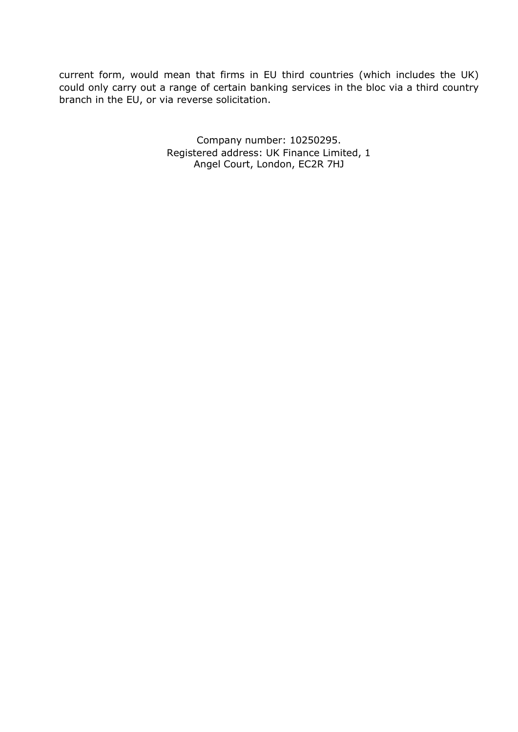current form, would mean that firms in EU third countries (which includes the UK) could only carry out a range of certain banking services in the bloc via a third country branch in the EU, or via reverse solicitation.

> Company number: 10250295. Registered address: UK Finance Limited, 1 Angel Court, London, EC2R 7HJ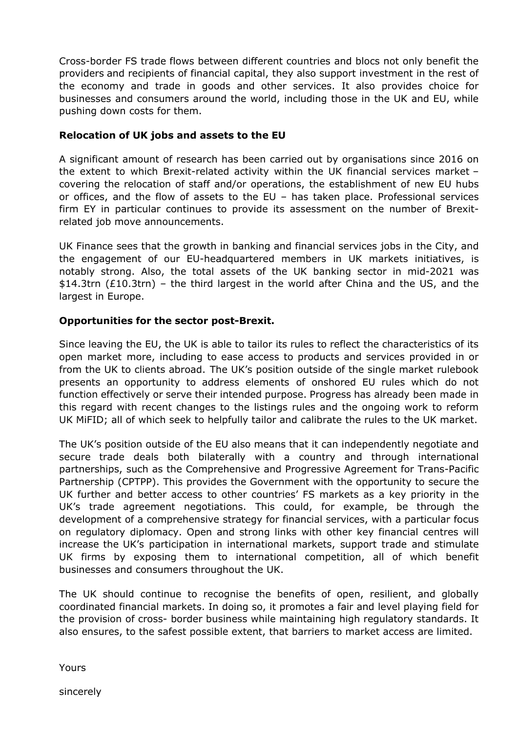Cross-border FS trade flows between different countries and blocs not only benefit the providers and recipients of financial capital, they also support investment in the rest of the economy and trade in goods and other services. It also provides choice for businesses and consumers around the world, including those in the UK and EU, while pushing down costs for them.

## **Relocation of UK jobs and assets to the EU**

A significant amount of research has been carried out by organisations since 2016 on the extent to which Brexit-related activity within the UK financial services market – covering the relocation of staff and/or operations, the establishment of new EU hubs or offices, and the flow of assets to the EU – has taken place. Professional services firm EY in particular continues to provide its assessment on the number of Brexitrelated job move announcements.

UK Finance sees that the growth in banking and financial services jobs in the City, and the engagement of our EU-headquartered members in UK markets initiatives, is notably strong. Also, the total assets of the UK banking sector in mid-2021 was \$14.3trn (£10.3trn) – the third largest in the world after China and the US, and the largest in Europe.

### **Opportunities for the sector post-Brexit.**

Since leaving the EU, the UK is able to tailor its rules to reflect the characteristics of its open market more, including to ease access to products and services provided in or from the UK to clients abroad. The UK's position outside of the single market rulebook presents an opportunity to address elements of onshored EU rules which do not function effectively or serve their intended purpose. Progress has already been made in this regard with recent changes to the listings rules and the ongoing work to reform UK MiFID; all of which seek to helpfully tailor and calibrate the rules to the UK market.

The UK's position outside of the EU also means that it can independently negotiate and secure trade deals both bilaterally with a country and through international partnerships, such as the Comprehensive and Progressive Agreement for Trans-Pacific Partnership (CPTPP). This provides the Government with the opportunity to secure the UK further and better access to other countries' FS markets as a key priority in the UK's trade agreement negotiations. This could, for example, be through the development of a comprehensive strategy for financial services, with a particular focus on regulatory diplomacy. Open and strong links with other key financial centres will increase the UK's participation in international markets, support trade and stimulate UK firms by exposing them to international competition, all of which benefit businesses and consumers throughout the UK.

The UK should continue to recognise the benefits of open, resilient, and globally coordinated financial markets. In doing so, it promotes a fair and level playing field for the provision of cross- border business while maintaining high regulatory standards. It also ensures, to the safest possible extent, that barriers to market access are limited.

Yours

sincerely